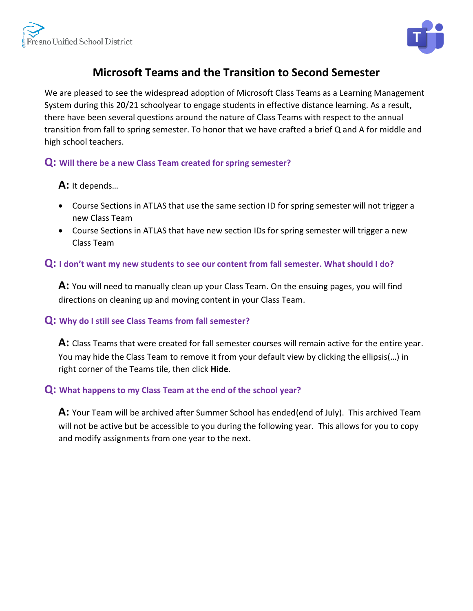

# **Microsoft Teams and the Transition to Second Semester**

We are pleased to see the widespread adoption of Microsoft Class Teams as a Learning Management System during this 20/21 schoolyear to engage students in effective distance learning. As a result, there have been several questions around the nature of Class Teams with respect to the annual transition from fall to spring semester. To honor that we have crafted a brief Q and A for middle [and](https://creativecommons.org/licenses/by-sa/3.0/)  high school teachers.

## **Q: Will there be a new Class Team created for spring semester?**

#### **A:** It depends…

- Course Sections in ATLAS that use the same section ID for spring semester will not trigger a new Class Team
- Course Sections in ATLAS that have new section IDs for spring semester will trigger a new Class Team

## **Q: I don't want my new students to see our content from fall semester. What should I do?**

**A:** You will need to manually clean up your Class Team. On the ensuing pages, you will find directions on cleaning up and moving content in your Class Team.

#### **Q: Why do I still see Class Teams from fall semester?**

**A:** Class Teams that were created for fall semester courses will remain active for the entire year. You may hide the Class Team to remove it from your default view by clicking the ellipsis(…) in right corner of the Teams tile, then click **Hide**.

#### **Q: What happens to my Class Team at the end of the school year?**

**A:** Your Team will be archived after Summer School has ended(end of July). This archived Team will not be active but be accessible to you during the following year. This allows for you to copy and modify assignments from one year to the next.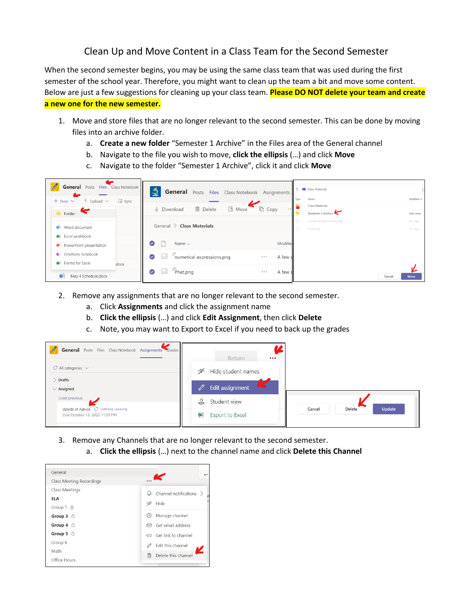## Clean Up and Move Content in a Class Team for the Second Semester

When the second semester begins, you may be using the same class team that was used during the first semester of the school year. Therefore, you might want to clean up the team a bit and move some content. Below are just a few suggestions for cleaning up your class team. **Please DO NOT delete your team and create a new one for the new semester.**

- 1. Move and store files that are no longer relevant to the second semester. This can be done by moving files into an archive folder.
	- a. **Create a new folder** "Semester 1 Archive" in the Files area of the General channel
	- b. Navigate to the file you wish to move, **click the ellipsis** (…) and click **Move**
	- c. Navigate to the folder "Semester 1 Archive", click it and click **Move**



- 2. Remove any assignments that are no longer relevant to the second semester.
	- a. Click **Assignments** and click the assignment name
	- b. **Click the ellipsis** (…) and click **Edit Assignment**, then click **Delete**
	- c. Note, you may want to Export to Excel if you need to back up the grades



- 3. Remove any Channels that are no longer relevant to the second semester.
	- a. **Click the ellipsis** (…) next to the channel name and click **Delete this Channel**